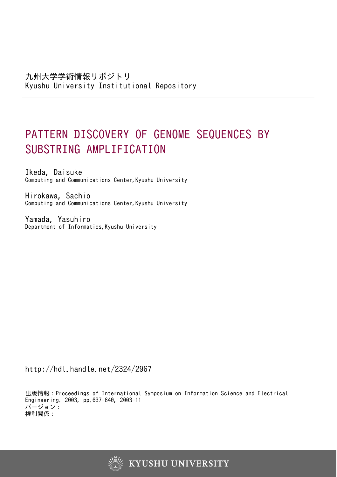# PATTERN DISCOVERY OF GENOME SEQUENCES BY SUBSTRING AMPLIFICATION

Ikeda, Daisuke Computing and Communications Center,Kyushu University

Hirokawa, Sachio Computing and Communications Center,Kyushu University

Yamada, Yasuhiro Department of Informatics, Kyushu University

http://hdl.handle.net/2324/2967

出版情報:Proceedings of International Symposium on Information Science and Electrical Engineering. 2003, pp.637-640, 2003-11 バージョン: 権利関係:

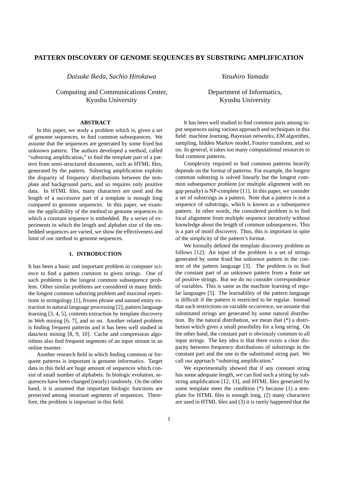## **PATTERN DISCOVERY OF GENOME SEQUENCES BY SUBSTRING AMPLIFICATION**

*Daisuke Ikeda, Sachio Hirokawa*

Computing and Communications Center, Kyushu University

*Yasuhiro Yamada*

Department of Informatics, Kyushu University

## **ABSTRACT**

In this paper, we study a problem which is, given a set of genome sequences, to find common subsequences. We assume that the sequences are generated by some fixed but unknown pattern. The authors developed a method, called "substring amplification," to find the template part of a pattern from semi-structured documents, such as HTML files, generated by the pattern. Substring amplification exploits the disparity of frequency distributions between the template and background parts, and so requires only positive data. In HTML files, many characters are used and the length of a successive part of a template is enough long compared to genome sequences. In this paper, we examine the applicability of the method to genome sequences in which a constant sequence is embedded. By a series of experiments in which the length and alphabet size of the embedded sequences are varied, we show the effectiveness and limit of our method to genome sequences.

## **1. INTRODUCTION**

It has been a basic and important problem in computer science to find a pattern common to given strings. One of such problems is the longest common subsequence problem. Other similar problems are considered in many fields: the longest common substring problem and maximal repetitions in stringology [1], frozen phrase and named entity extraction in natural language processing [2], pattern language learning [3, 4, 5], contents extraction by template discovery in Web mining [6, 7], and so on. Another related problem is finding frequent patterns and it has been well studied in data/text mining [8, 9, 10]. Cache and compression algorithms also find frequent segments of an input stream in an online manner.

Another research field in which finding common or frequent patterns is important is genome informatics. Target data in this field are huge amount of sequences which consist of small number of alphabets. In biologic evolution, sequences have been changed (nearly) randomly. On the other hand, it is assumed that important biologic functions are preserved among invariant segments of sequences. Therefore, the problem is important in this field.

It has been well studied to find common parts among input sequences using various approach and techniques in this field: machine learning, Bayesian networks, EM algorithm, sampling, hidden Markov model, Fourier transform, and so on. In general, it takes too many computational resources to find common patterns.

Complexity required to find common patterns heavily depends on the format of patterns. For example, the longest common substring is solved linearly but the longest common subsequence problem (or multiple alignment with no gap penalty) is NP-complete [11]. In this paper, we consider a set of substrings as a pattern. Note that a pattern is not a sequence of substrings, which is known as a subsequence pattern. In other words, the considered problem is to find local alignment from multiple sequence iteratively without knowledge about the length of common subsequences. This is a part of motif discovery. Thus, this is important in spite of the simplicity of the pattern's format.

We formally defined the template discovery problem as follows [12]: An input of the problem is a set of strings generated by some fixed but unknown pattern in the context of the pattern language [3]. The problem is to find the constant part of an unknown pattern from a finite set of positive strings. But we do no consider correspondence of variables. This is same as the machine learning of regular languages [5]. The learnability of the pattern language is difficult if the pattern is restricted to be regular. Instead that such restrictions on variable occurrence, we assume that substituted strings are generated by some natural distribution. By the natural distribution, we mean that (\*) a distribution which gives a small possibility for a long string. On the other hand, the constant part is obviously common to all input strings. The key idea is that there exists a clear disparity between frequency distributions of substrings in the constant part and the one in the substituted string part. We call our approach "substring amplification."

We experimentally showed that if any constant string has some adequate length, we can find such a string by substring amplification [12, 13], and HTML files generated by some template meet the condition (\*) because (1) a template for HTML files is enough long, (2) many characters are used in HTML files and (3) it is rarely happened that the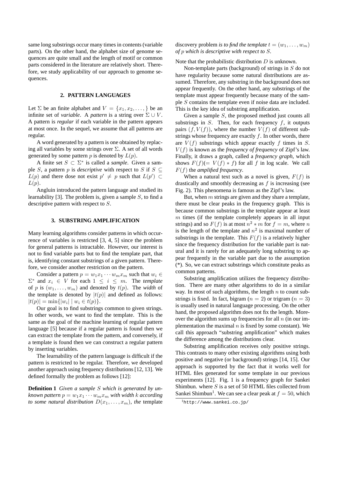same long substrings occur many times in contents (variable parts). On the other hand, the alphabet size of genome sequences are quite small and the length of motif or common parts considered in the literature are relatively short. Therefore, we study applicability of our approach to genome sequences.

## **2. PATTERN LANGUAGES**

Let  $\Sigma$  be an finite alphabet and  $V = \{x_1, x_2, \dots, \}$  be an infinite set of *variable*. A *pattern* is a string over  $\Sigma \cup V$ . A pattern is *regular* if each variable in the pattern appears at most once. In the sequel, we assume that all patterns are regular.

A word generated by a pattern is one obtained by replacing all variables by some strings over  $\Sigma$ . A set of all words generated by some pattern  $p$  is denoted by  $L(p)$ .

A finite set  $S \subset \Sigma^*$  is called a *sample*. Given a sample S, a pattern p is *descriptive* with respect to S if  $S \subseteq$  $L(p)$  and there dose not exist  $p' \neq p$  such that  $L(p') \subset$  $L(p)$ .

Angluin introduced the pattern language and studied its learnability [3]. The problem is, given a sample  $S$ , to find a descriptive pattern with respect to S.

## **3. SUBSTRING AMPLIFICATION**

Many learning algorithms consider patterns in which occurrence of variables is restricted [3, 4, 5] since the problem for general patterns is intractable. However, our interest is not to find variable parts but to find the template part, that is, identifying constant substrings of a given pattern. Therefore, we consider another restriction on the pattern.

Consider a pattern  $p = w_1 x_1 \cdots w_m x_m$  such that  $w_i \in$  $\Sigma^*$  and  $x_i \in V$  for each  $1 \leq i \leq m$ . The *template* of p is  $(w_1, \ldots, w_m)$  and denoted by  $t(p)$ . The *width* of the template is denoted by  $|t(p)|$  and defined as follows:  $|t(p)| = \min\{|w_i| \mid w_i \in t(p)\}.$ 

Our goal is to find substrings common to given strings. In other words, we want to find the template. This is the same as the goal of the machine learning of regular pattern language [5] because if a regular pattern is found then we can extract the template from the pattern, and conversely, if a template is found then we can construct a regular pattern by inserting variables.

The learnability of the pattern language is difficult if the pattern is restricted to be regular. Therefore, we developed another approach using frequency distributions [12, 13]. We defined formally the problem as follows [12]:

**Definition 1** *Given a sample* S *which is generated by unknown pattern*  $p = w_1 x_1 \cdots w_m x_m$  *with width k according to some natural distribution*  $D(x_1, \ldots, x_m)$ *, the template* 

discovery problem *is to find the template*  $t = (w_1, \ldots, w_m)$ *of* p *which is descriptive with respect to* S*.*

Note that the probabilistic distribution  $D$  is unknown.

Non-template parts (background) of strings in S do not have regularity because some natural distributions are assumed. Therefore, any substring in the background does not appear frequently. On the other hand, any substrings of the template must appear frequently because many of the sample S contains the template even if noise data are included. This is the key idea of substring amplification.

Given a sample S, the proposed method just counts all substrings in  $S$ . Then, for each frequency  $f$ , it outputs pairs  $(f, V(f))$ , where the number  $V(f)$  of different substrings whose frequency are exactly  $f$ . In other words, there are  $V(f)$  substrings which appear exactly f times in S.  $V(f)$  is known as the *frequency of frequency* of Zipf's law. Finally, it draws a graph, called a *frequency graph*, which shows  $F(f)(= V(f) * f)$  for all f in log scale. We call F(f) the *amplified frequency*.

When a natural text such as a novel is given,  $F(f)$  is drastically and smoothly decreasing as  $f$  is increasing (see Fig. 2). This phenomena is famous as the Zipf's law.

But, when  $m$  strings are given and they share a template, there must be clear peaks in the frequency graph. This is because common substrings in the template appear at least  $m$  times (if the template completely appears in all input strings) and so  $F(f)$  is at most  $n^2 * m$  for  $f = m$ , where n is the length of the template and  $n^2$  is maximal number of substrings in the template. This  $F(f)$  is a relatively higher since the frequency distribution for the variable part is natural and it is rarely for an adequately long substring to appear frequently in the variable part due to the assumption (\*). So, we can extract substrings which constitute peaks as common patterns.

Substring amplification utilizes the frequency distribution. There are many other algorithms to do in a similar way. In most of such algorithms, the length  $n$  to count substrings is fixed. In fact, bigram  $(n = 2)$  or trigram  $(n = 3)$ is usually used in natural language processing. On the other hand, the proposed algorithm does not fix the length. Moreover the algorithm sums up frequencies for all  $n$  (in our implementation the maximal  $n$  is fixed by some constant). We call this approach "substring amplification" which makes the difference among the distributions clear.

Substring amplification receives only positive strings. This contrasts to many other existing algorithms using both positive and negative (or background) strings [14, 15]. Our approach is supported by the fact that it works well for HTML files generated for some template in our previous experiments [12]. Fig. 1 is a frequency graph for Sankei Shimbun. where  $S$  is a set of 50 HTML files collected from Sankei Shimbun<sup>1</sup>. We can see a clear peak at  $f = 50$ , which

<sup>1</sup>http://www.sankei.co.jp/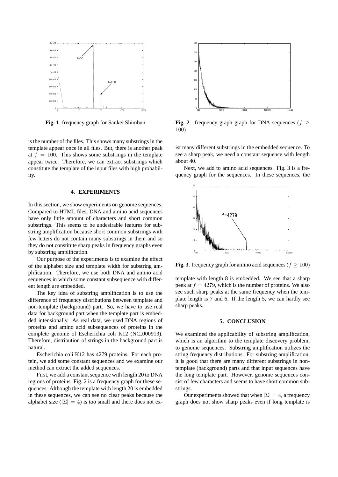

**Fig. 1**. frequency graph for Sankei Shimbun

is the number of the files. This shows many substrings in the template appear once in all files. But, there is another peak at  $f = 100$ . This shows some substrings in the template appear twice. Therefore, we can extract substrings which constitute the template of the input files with high probability.

### **4. EXPERIMENTS**

In this section, we show experiments on genome sequences. Compared to HTML files, DNA and amino acid sequences have only little amount of characters and short common substrings. This seems to be undesirable features for substring amplification because short common substrings with few letters do not contain many substrings in them and so they do not constitute sharp peaks in frequency graphs even by substring amplification.

Our purpose of the experiments is to examine the effect of the alphabet size and template width for substring amplification. Therefore, we use both DNA and amino acid sequences in which some constant subsequence with different length are embedded.

The key idea of substring amplification is to use the difference of frequency distributions between template and non-template (background) part. So, we have to use real data for background part when the template part is embedded intensionally. As real data, we used DNA regions of proteins and amino acid subsequences of proteins in the complete genome of Escherichia coli K12 (NC 000913). Therefore, distribution of strings in the background part is natural.

Escherichia coli K12 has 4279 proteins. For each protein, we add some constant sequences and we examine our method can extract the added sequences.

First, we add a constant sequence with length 20 to DNA regions of proteins. Fig. 2 is a frequency graph for these sequences. Although the template with length 20 is embedded in these sequences, we can see no clear peaks because the alphabet size ( $|\Sigma| = 4$ ) is too small and there does not ex-



**Fig. 2.** frequency graph graph for DNA sequences ( $f \geq$ 100)

ist many different substrings in the embedded sequence. To see a sharp peak, we need a constant sequence with length about 40.

Next, we add to amino acid sequences. Fig. 3 is a frequency graph for the sequences. In these sequences, the



**Fig. 3**. frequency graph for amino acid sequences ( $f \ge 100$ )

template with length 8 is embedded. We see that a sharp peek at  $f = 4279$ , which is the number of proteins. We also see such sharp peaks at the same frequency when the template length is 7 and 6. If the length 5, we can hardly see sharp peaks.

## **5. CONCLUSION**

We examined the applicability of substring amplification, which is an algorithm to the template discovery problem, to genome sequences. Substring amplification utilizes the string frequency distributions. For substring amplification, it is good that there are many different substrings in nontemplate (background) parts and that input sequences have the long template part. However, genome sequences consist of few characters and seems to have short common substrings.

Our experiments showed that when  $|\Sigma| = 4$ , a frequency graph does not show sharp peaks even if long template is